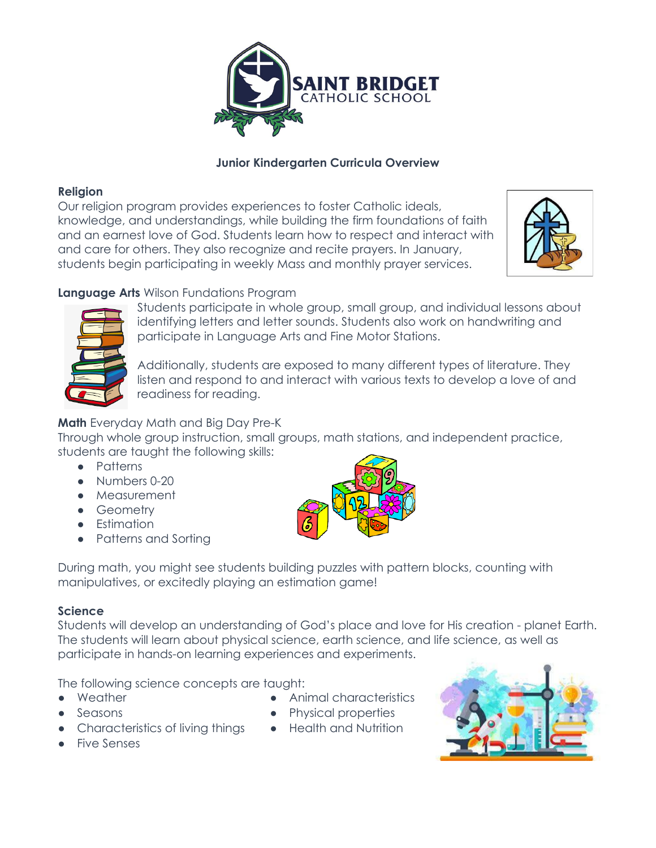

### **Junior Kindergarten Curricula Overview**

### **Religion**

Our religion program provides experiences to foster Catholic ideals, knowledge, and understandings, while building the firm foundations of faith and an earnest love of God. Students learn how to respect and interact with and care for others. They also recognize and recite prayers. In January, students begin participating in weekly Mass and monthly prayer services.



# **Language Arts** Wilson Fundations Program



Students participate in whole group, small group, and individual lessons about identifying letters and letter sounds. Students also work on handwriting and participate in Language Arts and Fine Motor Stations.

Additionally, students are exposed to many different types of literature. They listen and respond to and interact with various texts to develop a love of and readiness for reading.

## **Math** Everyday Math and Big Day Pre-K

Through whole group instruction, small groups, math stations, and independent practice, students are taught the following skills:

- Patterns
- Numbers 0-20
- Measurement
- Geometry
- **•** Estimation
- Patterns and Sorting



During math, you might see students building puzzles with pattern blocks, counting with manipulatives, or excitedly playing an estimation game!

### **Science**

Students will develop an understanding of God's place and love for His creation - planet Earth. The students will learn about physical science, earth science, and life science, as well as participate in hands-on learning experiences and experiments.

The following science concepts are taught:

● Weather

Animal characteristics

- Seasons
- Characteristics of living things
- 
- Physical properties
- Health and Nutrition



● Five Senses